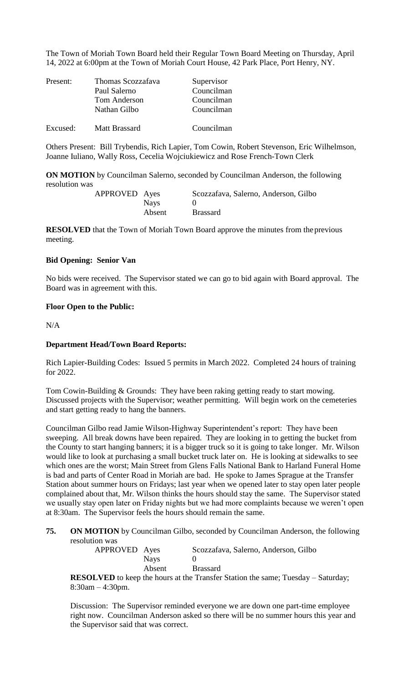The Town of Moriah Town Board held their Regular Town Board Meeting on Thursday, April 14, 2022 at 6:00pm at the Town of Moriah Court House, 42 Park Place, Port Henry, NY.

| Present: | Thomas Scozzafava | Supervisor |  |  |
|----------|-------------------|------------|--|--|
|          | Paul Salerno      | Councilman |  |  |
|          | Tom Anderson      | Councilman |  |  |
|          | Nathan Gilbo      | Councilman |  |  |
| Excused: | Matt Brassard     | Councilman |  |  |

Others Present: Bill Trybendis, Rich Lapier, Tom Cowin, Robert Stevenson, Eric Wilhelmson, Joanne Iuliano, Wally Ross, Cecelia Wojciukiewicz and Rose French-Town Clerk

**ON MOTION** by Councilman Salerno, seconded by Councilman Anderson, the following resolution was

| APPROVED Ayes |             | Scozzafava, Salerno, Anderson, Gilbo |
|---------------|-------------|--------------------------------------|
|               | <b>Nays</b> |                                      |
|               | Absent      | <b>Brassard</b>                      |

**RESOLVED** that the Town of Moriah Town Board approve the minutes from the previous meeting.

## **Bid Opening: Senior Van**

No bids were received. The Supervisor stated we can go to bid again with Board approval. The Board was in agreement with this.

## **Floor Open to the Public:**

N/A

## **Department Head/Town Board Reports:**

Rich Lapier-Building Codes: Issued 5 permits in March 2022. Completed 24 hours of training for 2022.

Tom Cowin-Building & Grounds: They have been raking getting ready to start mowing. Discussed projects with the Supervisor; weather permitting. Will begin work on the cemeteries and start getting ready to hang the banners.

Councilman Gilbo read Jamie Wilson-Highway Superintendent's report: They have been sweeping. All break downs have been repaired. They are looking in to getting the bucket from the County to start hanging banners; it is a bigger truck so it is going to take longer. Mr. Wilson would like to look at purchasing a small bucket truck later on. He is looking at sidewalks to see which ones are the worst; Main Street from Glens Falls National Bank to Harland Funeral Home is bad and parts of Center Road in Moriah are bad. He spoke to James Sprague at the Transfer Station about summer hours on Fridays; last year when we opened later to stay open later people complained about that, Mr. Wilson thinks the hours should stay the same. The Supervisor stated we usually stay open later on Friday nights but we had more complaints because we weren't open at 8:30am. The Supervisor feels the hours should remain the same.

**75. ON MOTION** by Councilman Gilbo, seconded by Councilman Anderson, the following resolution was

| APPROVED Ayes |             | Scozzafava, Salerno, Anderson, Gilbo |
|---------------|-------------|--------------------------------------|
|               | <b>Nays</b> |                                      |
|               | Absent      | <b>Brassard</b>                      |

**RESOLVED** to keep the hours at the Transfer Station the same; Tuesday – Saturday; 8:30am – 4:30pm.

Discussion: The Supervisor reminded everyone we are down one part-time employee right now. Councilman Anderson asked so there will be no summer hours this year and the Supervisor said that was correct.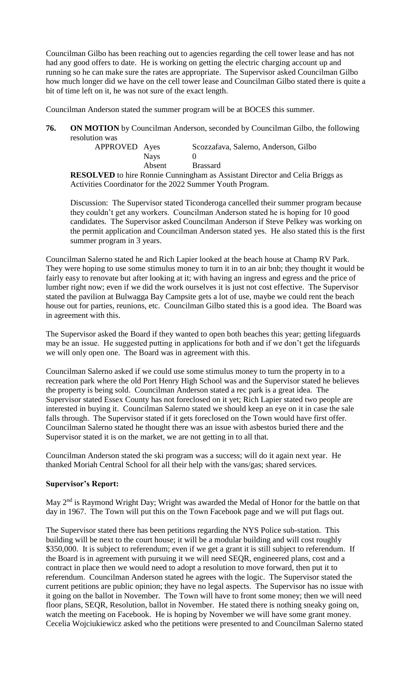Councilman Gilbo has been reaching out to agencies regarding the cell tower lease and has not had any good offers to date. He is working on getting the electric charging account up and running so he can make sure the rates are appropriate. The Supervisor asked Councilman Gilbo how much longer did we have on the cell tower lease and Councilman Gilbo stated there is quite a bit of time left on it, he was not sure of the exact length.

Councilman Anderson stated the summer program will be at BOCES this summer.

**76. ON MOTION** by Councilman Anderson, seconded by Councilman Gilbo, the following resolution was

| APPROVED Ayes |             | Scozzafava, Salerno, Anderson, Gilbo                                                |
|---------------|-------------|-------------------------------------------------------------------------------------|
|               | <b>Navs</b> |                                                                                     |
|               | Absent      | <b>Brassard</b>                                                                     |
|               |             | <b>RESOLVED</b> to hire Ronnie Cunningham as Assistant Director and Celia Briggs as |

Activities Coordinator for the 2022 Summer Youth Program.

Discussion: The Supervisor stated Ticonderoga cancelled their summer program because they couldn't get any workers. Councilman Anderson stated he is hoping for 10 good candidates. The Supervisor asked Councilman Anderson if Steve Pelkey was working on the permit application and Councilman Anderson stated yes. He also stated this is the first summer program in 3 years.

Councilman Salerno stated he and Rich Lapier looked at the beach house at Champ RV Park. They were hoping to use some stimulus money to turn it in to an air bnb; they thought it would be fairly easy to renovate but after looking at it; with having an ingress and egress and the price of lumber right now; even if we did the work ourselves it is just not cost effective. The Supervisor stated the pavilion at Bulwagga Bay Campsite gets a lot of use, maybe we could rent the beach house out for parties, reunions, etc. Councilman Gilbo stated this is a good idea. The Board was in agreement with this.

The Supervisor asked the Board if they wanted to open both beaches this year; getting lifeguards may be an issue. He suggested putting in applications for both and if we don't get the lifeguards we will only open one. The Board was in agreement with this.

Councilman Salerno asked if we could use some stimulus money to turn the property in to a recreation park where the old Port Henry High School was and the Supervisor stated he believes the property is being sold. Councilman Anderson stated a rec park is a great idea. The Supervisor stated Essex County has not foreclosed on it yet; Rich Lapier stated two people are interested in buying it. Councilman Salerno stated we should keep an eye on it in case the sale falls through. The Supervisor stated if it gets foreclosed on the Town would have first offer. Councilman Salerno stated he thought there was an issue with asbestos buried there and the Supervisor stated it is on the market, we are not getting in to all that.

Councilman Anderson stated the ski program was a success; will do it again next year. He thanked Moriah Central School for all their help with the vans/gas; shared services.

# **Supervisor's Report:**

May 2<sup>nd</sup> is Raymond Wright Day; Wright was awarded the Medal of Honor for the battle on that day in 1967. The Town will put this on the Town Facebook page and we will put flags out.

The Supervisor stated there has been petitions regarding the NYS Police sub-station. This building will be next to the court house; it will be a modular building and will cost roughly \$350,000. It is subject to referendum; even if we get a grant it is still subject to referendum. If the Board is in agreement with pursuing it we will need SEQR, engineered plans, cost and a contract in place then we would need to adopt a resolution to move forward, then put it to referendum. Councilman Anderson stated he agrees with the logic. The Supervisor stated the current petitions are public opinion; they have no legal aspects. The Supervisor has no issue with it going on the ballot in November. The Town will have to front some money; then we will need floor plans, SEQR, Resolution, ballot in November. He stated there is nothing sneaky going on, watch the meeting on Facebook. He is hoping by November we will have some grant money. Cecelia Wojciukiewicz asked who the petitions were presented to and Councilman Salerno stated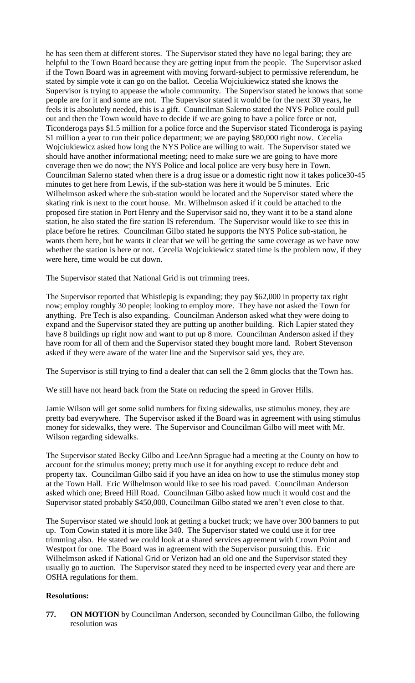he has seen them at different stores. The Supervisor stated they have no legal baring; they are helpful to the Town Board because they are getting input from the people. The Supervisor asked if the Town Board was in agreement with moving forward-subject to permissive referendum, he stated by simple vote it can go on the ballot. Cecelia Wojciukiewicz stated she knows the Supervisor is trying to appease the whole community. The Supervisor stated he knows that some people are for it and some are not. The Supervisor stated it would be for the next 30 years, he feels it is absolutely needed, this is a gift. Councilman Salerno stated the NYS Police could pull out and then the Town would have to decide if we are going to have a police force or not, Ticonderoga pays \$1.5 million for a police force and the Supervisor stated Ticonderoga is paying \$1 million a year to run their police department; we are paying \$80,000 right now. Cecelia Wojciukiewicz asked how long the NYS Police are willing to wait. The Supervisor stated we should have another informational meeting; need to make sure we are going to have more coverage then we do now; the NYS Police and local police are very busy here in Town. Councilman Salerno stated when there is a drug issue or a domestic right now it takes police30-45 minutes to get here from Lewis, if the sub-station was here it would be 5 minutes. Eric Wilhelmson asked where the sub-station would be located and the Supervisor stated where the skating rink is next to the court house. Mr. Wilhelmson asked if it could be attached to the proposed fire station in Port Henry and the Supervisor said no, they want it to be a stand alone station, he also stated the fire station IS referendum. The Supervisor would like to see this in place before he retires. Councilman Gilbo stated he supports the NYS Police sub-station, he wants them here, but he wants it clear that we will be getting the same coverage as we have now whether the station is here or not. Cecelia Wojciukiewicz stated time is the problem now, if they were here, time would be cut down.

The Supervisor stated that National Grid is out trimming trees.

The Supervisor reported that Whistlepig is expanding; they pay \$62,000 in property tax right now; employ roughly 30 people; looking to employ more. They have not asked the Town for anything. Pre Tech is also expanding. Councilman Anderson asked what they were doing to expand and the Supervisor stated they are putting up another building. Rich Lapier stated they have 8 buildings up right now and want to put up 8 more. Councilman Anderson asked if they have room for all of them and the Supervisor stated they bought more land. Robert Stevenson asked if they were aware of the water line and the Supervisor said yes, they are.

The Supervisor is still trying to find a dealer that can sell the 2 8mm glocks that the Town has.

We still have not heard back from the State on reducing the speed in Grover Hills.

Jamie Wilson will get some solid numbers for fixing sidewalks, use stimulus money, they are pretty bad everywhere. The Supervisor asked if the Board was in agreement with using stimulus money for sidewalks, they were. The Supervisor and Councilman Gilbo will meet with Mr. Wilson regarding sidewalks.

The Supervisor stated Becky Gilbo and LeeAnn Sprague had a meeting at the County on how to account for the stimulus money; pretty much use it for anything except to reduce debt and property tax. Councilman Gilbo said if you have an idea on how to use the stimulus money stop at the Town Hall. Eric Wilhelmson would like to see his road paved. Councilman Anderson asked which one; Breed Hill Road. Councilman Gilbo asked how much it would cost and the Supervisor stated probably \$450,000, Councilman Gilbo stated we aren't even close to that.

The Supervisor stated we should look at getting a bucket truck; we have over 300 banners to put up. Tom Cowin stated it is more like 340. The Supervisor stated we could use it for tree trimming also. He stated we could look at a shared services agreement with Crown Point and Westport for one. The Board was in agreement with the Supervisor pursuing this. Eric Wilhelmson asked if National Grid or Verizon had an old one and the Supervisor stated they usually go to auction. The Supervisor stated they need to be inspected every year and there are OSHA regulations for them.

#### **Resolutions:**

**77. ON MOTION** by Councilman Anderson, seconded by Councilman Gilbo, the following resolution was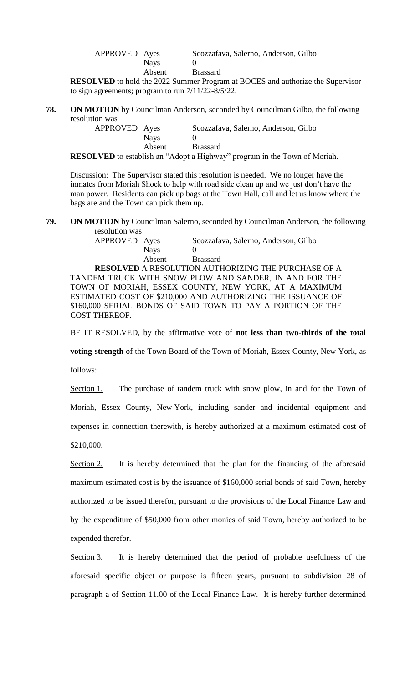| APPROVED Ayes |        | Scozzafava, Salerno, Anderson, Gilbo |
|---------------|--------|--------------------------------------|
|               | Navs   |                                      |
|               | Absent | <b>Brassard</b>                      |

**RESOLVED** to hold the 2022 Summer Program at BOCES and authorize the Supervisor to sign agreements; program to run 7/11/22-8/5/22.

**78. ON MOTION** by Councilman Anderson, seconded by Councilman Gilbo, the following resolution was

| APPROVED Ayes            |                                          | Scozzafava, Salerno, Anderson, Gilbo         |
|--------------------------|------------------------------------------|----------------------------------------------|
|                          | <b>Nays</b>                              |                                              |
|                          | Absent                                   | <b>Brassard</b>                              |
| $0.01$ in $\overline{1}$ | $\sim$ 1111 $\sim$ $\sim$ 11 $\sim$ 1111 | $\alpha$ $\bf{r}$<br>$\cdot$ $\cdot$ $\cdot$ |

**RESOLVED** to establish an "Adopt a Highway" program in the Town of Moriah.

Discussion: The Supervisor stated this resolution is needed. We no longer have the inmates from Moriah Shock to help with road side clean up and we just don't have the man power. Residents can pick up bags at the Town Hall, call and let us know where the bags are and the Town can pick them up.

**79. ON MOTION** by Councilman Salerno, seconded by Councilman Anderson, the following

resolution was<br>APPROVED Ayes Scozzafava, Salerno, Anderson, Gilbo Nays 0 Absent Brassard

**RESOLVED** A RESOLUTION AUTHORIZING THE PURCHASE OF A TANDEM TRUCK WITH SNOW PLOW AND SANDER, IN AND FOR THE TOWN OF MORIAH, ESSEX COUNTY, NEW YORK, AT A MAXIMUM ESTIMATED COST OF \$210,000 AND AUTHORIZING THE ISSUANCE OF \$160,000 SERIAL BONDS OF SAID TOWN TO PAY A PORTION OF THE COST THEREOF.

BE IT RESOLVED, by the affirmative vote of **not less than two-thirds of the total** 

**voting strength** of the Town Board of the Town of Moriah, Essex County, New York, as

follows:

Section 1. The purchase of tandem truck with snow plow, in and for the Town of Moriah, Essex County, New York, including sander and incidental equipment and

expenses in connection therewith, is hereby authorized at a maximum estimated cost of

\$210,000.

Section 2. It is hereby determined that the plan for the financing of the aforesaid maximum estimated cost is by the issuance of \$160,000 serial bonds of said Town, hereby authorized to be issued therefor, pursuant to the provisions of the Local Finance Law and by the expenditure of \$50,000 from other monies of said Town, hereby authorized to be expended therefor.

Section 3. It is hereby determined that the period of probable usefulness of the aforesaid specific object or purpose is fifteen years, pursuant to subdivision 28 of paragraph a of Section 11.00 of the Local Finance Law. It is hereby further determined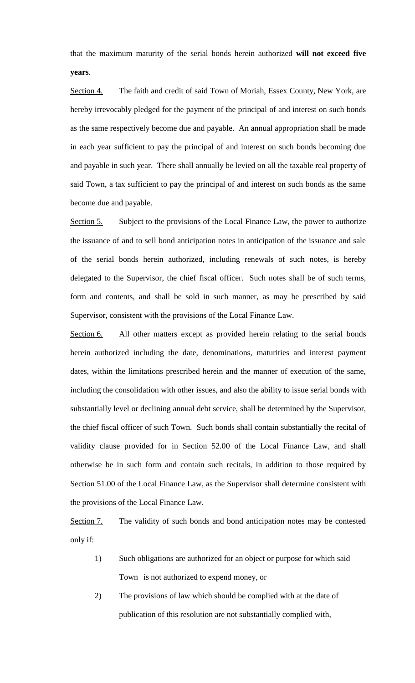that the maximum maturity of the serial bonds herein authorized **will not exceed five years**.

Section 4. The faith and credit of said Town of Moriah, Essex County, New York, are hereby irrevocably pledged for the payment of the principal of and interest on such bonds as the same respectively become due and payable. An annual appropriation shall be made in each year sufficient to pay the principal of and interest on such bonds becoming due and payable in such year. There shall annually be levied on all the taxable real property of said Town, a tax sufficient to pay the principal of and interest on such bonds as the same become due and payable.

Section 5. Subject to the provisions of the Local Finance Law, the power to authorize the issuance of and to sell bond anticipation notes in anticipation of the issuance and sale of the serial bonds herein authorized, including renewals of such notes, is hereby delegated to the Supervisor, the chief fiscal officer. Such notes shall be of such terms, form and contents, and shall be sold in such manner, as may be prescribed by said Supervisor, consistent with the provisions of the Local Finance Law.

Section 6. All other matters except as provided herein relating to the serial bonds herein authorized including the date, denominations, maturities and interest payment dates, within the limitations prescribed herein and the manner of execution of the same, including the consolidation with other issues, and also the ability to issue serial bonds with substantially level or declining annual debt service, shall be determined by the Supervisor, the chief fiscal officer of such Town. Such bonds shall contain substantially the recital of validity clause provided for in Section 52.00 of the Local Finance Law, and shall otherwise be in such form and contain such recitals, in addition to those required by Section 51.00 of the Local Finance Law, as the Supervisor shall determine consistent with the provisions of the Local Finance Law.

Section 7. The validity of such bonds and bond anticipation notes may be contested only if:

- 1) Such obligations are authorized for an object or purpose for which said Town is not authorized to expend money, or
- 2) The provisions of law which should be complied with at the date of publication of this resolution are not substantially complied with,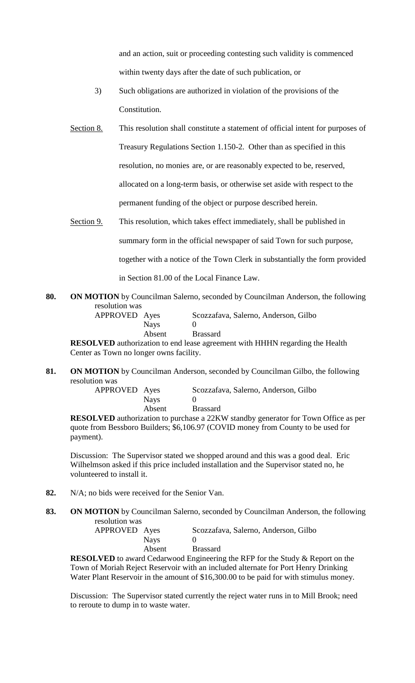and an action, suit or proceeding contesting such validity is commenced within twenty days after the date of such publication, or

- 3) Such obligations are authorized in violation of the provisions of the Constitution.
- Section 8. This resolution shall constitute a statement of official intent for purposes of Treasury Regulations Section 1.150-2. Other than as specified in this resolution, no monies are, or are reasonably expected to be, reserved, allocated on a long-term basis, or otherwise set aside with respect to the permanent funding of the object or purpose described herein.
- Section 9. This resolution, which takes effect immediately, shall be published in

summary form in the official newspaper of said Town for such purpose,

together with a notice of the Town Clerk in substantially the form provided

in Section 81.00 of the Local Finance Law.

**80. ON MOTION** by Councilman Salerno, seconded by Councilman Anderson, the following resolution was

| APPROVED Ayes |             | Scozzafava, Salerno, Anderson, Gilbo |
|---------------|-------------|--------------------------------------|
|               | <b>Nays</b> |                                      |
|               | Absent      | <b>Brassard</b>                      |

**RESOLVED** authorization to end lease agreement with HHHN regarding the Health Center as Town no longer owns facility.

**81. ON MOTION** by Councilman Anderson, seconded by Councilman Gilbo, the following resolution was

| APPROVED Ayes |        | Scozzafava, Salerno, Anderson, Gilbo |
|---------------|--------|--------------------------------------|
|               | Navs   |                                      |
|               | Absent | <b>Brassard</b>                      |

**RESOLVED** authorization to purchase a 22KW standby generator for Town Office as per quote from Bessboro Builders; \$6,106.97 (COVID money from County to be used for payment).

Discussion: The Supervisor stated we shopped around and this was a good deal. Eric Wilhelmson asked if this price included installation and the Supervisor stated no, he volunteered to install it.

- **82.** N/A; no bids were received for the Senior Van.
- **83. ON MOTION** by Councilman Salerno, seconded by Councilman Anderson, the following resolution was

| APPROVED Ayes |               |                 |  | Scozzafava, Salerno, Anderson, Gilbo                                                                                                                                                                                                                                                                                               |  |  |  |
|---------------|---------------|-----------------|--|------------------------------------------------------------------------------------------------------------------------------------------------------------------------------------------------------------------------------------------------------------------------------------------------------------------------------------|--|--|--|
|               | <b>Nays</b>   |                 |  |                                                                                                                                                                                                                                                                                                                                    |  |  |  |
|               | Absent        | <b>Brassard</b> |  |                                                                                                                                                                                                                                                                                                                                    |  |  |  |
| $   -$        | $\sim$ $\sim$ |                 |  | $\mathbf{1}$ $\mathbf{1}$ $\mathbf{1}$ $\mathbf{1}$ $\mathbf{1}$ $\mathbf{1}$ $\mathbf{1}$ $\mathbf{1}$ $\mathbf{1}$ $\mathbf{1}$ $\mathbf{1}$ $\mathbf{1}$ $\mathbf{1}$ $\mathbf{1}$ $\mathbf{1}$ $\mathbf{1}$ $\mathbf{1}$ $\mathbf{1}$ $\mathbf{1}$ $\mathbf{1}$ $\mathbf{1}$ $\mathbf{1}$ $\mathbf{1}$ $\mathbf{1}$ $\mathbf{$ |  |  |  |

**RESOLVED** to award Cedarwood Engineering the RFP for the Study & Report on the Town of Moriah Reject Reservoir with an included alternate for Port Henry Drinking Water Plant Reservoir in the amount of \$16,300.00 to be paid for with stimulus money.

Discussion: The Supervisor stated currently the reject water runs in to Mill Brook; need to reroute to dump in to waste water.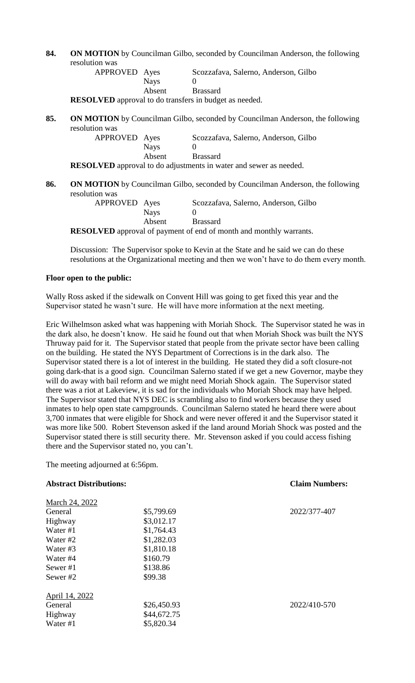**84. ON MOTION** by Councilman Gilbo, seconded by Councilman Anderson, the following resolution was

| APPROVED Ayes |             | Scozzafava, Salerno, Anderson, Gilbo |
|---------------|-------------|--------------------------------------|
|               | <b>Nays</b> |                                      |
|               | Absent      | <b>Brassard</b>                      |
|               |             |                                      |

**RESOLVED** approval to do transfers in budget as needed.

**85. ON MOTION** by Councilman Gilbo, seconded by Councilman Anderson, the following resolution was

APPROVED Ayes Scozzafava, Salerno, Anderson, Gilbo Nays 0 Absent Brassard **RESOLVED** approval to do adjustments in water and sewer as needed.

**86. ON MOTION** by Councilman Gilbo, seconded by Councilman Anderson, the following resolution was

| 1400011 1140  |             |                                                                                                                                                                                                                                                                                                       |
|---------------|-------------|-------------------------------------------------------------------------------------------------------------------------------------------------------------------------------------------------------------------------------------------------------------------------------------------------------|
| APPROVED Ayes |             | Scozzafava, Salerno, Anderson, Gilbo                                                                                                                                                                                                                                                                  |
|               | <b>Nays</b> |                                                                                                                                                                                                                                                                                                       |
|               | Absent      | <b>Brassard</b>                                                                                                                                                                                                                                                                                       |
|               |             | $\mathbf{M}$ $\mathbf{M}$ $\mathbf{F}$ $\mathbf{D}$ is a set of $\mathbf{L}$ and $\mathbf{L}$ $\mathbf{L}$ and $\mathbf{L}$ $\mathbf{L}$ and $\mathbf{L}$ and $\mathbf{L}$ and $\mathbf{L}$ and $\mathbf{L}$ and $\mathbf{L}$ and $\mathbf{L}$ and $\mathbf{L}$ and $\mathbf{L}$ and $\mathbf{L}$ and |

**RESOLVED** approval of payment of end of month and monthly warrants.

Discussion: The Supervisor spoke to Kevin at the State and he said we can do these resolutions at the Organizational meeting and then we won't have to do them every month.

## **Floor open to the public:**

Wally Ross asked if the sidewalk on Convent Hill was going to get fixed this year and the Supervisor stated he wasn't sure. He will have more information at the next meeting.

Eric Wilhelmson asked what was happening with Moriah Shock. The Supervisor stated he was in the dark also, he doesn't know. He said he found out that when Moriah Shock was built the NYS Thruway paid for it. The Supervisor stated that people from the private sector have been calling on the building. He stated the NYS Department of Corrections is in the dark also. The Supervisor stated there is a lot of interest in the building. He stated they did a soft closure-not going dark-that is a good sign. Councilman Salerno stated if we get a new Governor, maybe they will do away with bail reform and we might need Moriah Shock again. The Supervisor stated there was a riot at Lakeview, it is sad for the individuals who Moriah Shock may have helped. The Supervisor stated that NYS DEC is scrambling also to find workers because they used inmates to help open state campgrounds. Councilman Salerno stated he heard there were about 3,700 inmates that were eligible for Shock and were never offered it and the Supervisor stated it was more like 500. Robert Stevenson asked if the land around Moriah Shock was posted and the Supervisor stated there is still security there. Mr. Stevenson asked if you could access fishing there and the Supervisor stated no, you can't.

The meeting adjourned at 6:56pm.

| <b>Abstract Distributions:</b> |             | <b>Claim Numbers:</b> |  |  |
|--------------------------------|-------------|-----------------------|--|--|
| March 24, 2022                 |             |                       |  |  |
| General                        | \$5,799.69  | 2022/377-407          |  |  |
| Highway                        | \$3,012.17  |                       |  |  |
| Water #1                       | \$1,764.43  |                       |  |  |
| Water #2                       | \$1,282.03  |                       |  |  |
| Water #3                       | \$1,810.18  |                       |  |  |
| Water #4                       | \$160.79    |                       |  |  |
| Sewer #1                       | \$138.86    |                       |  |  |
| Sewer #2                       | \$99.38     |                       |  |  |
| April 14, 2022                 |             |                       |  |  |
| General                        | \$26,450.93 | 2022/410-570          |  |  |
| Highway                        | \$44,672.75 |                       |  |  |
| Water #1                       | \$5,820.34  |                       |  |  |
|                                |             |                       |  |  |